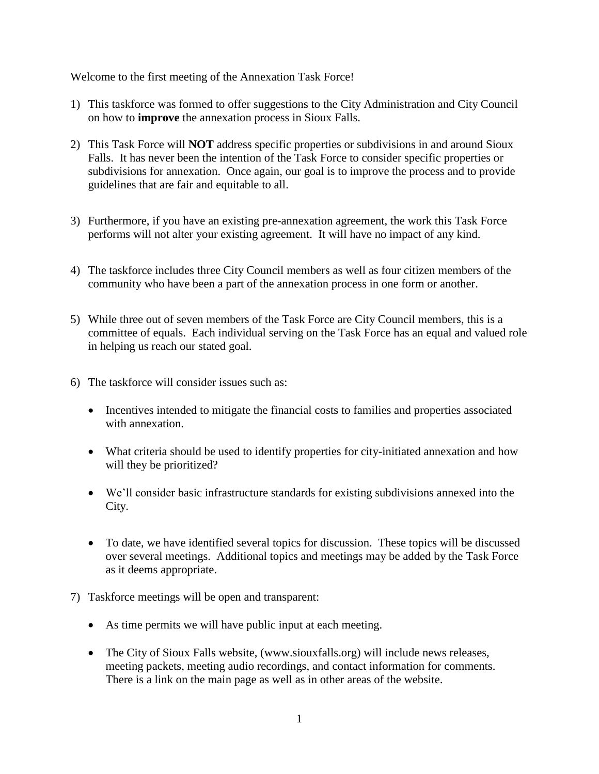Welcome to the first meeting of the Annexation Task Force!

- 1) This taskforce was formed to offer suggestions to the City Administration and City Council on how to **improve** the annexation process in Sioux Falls.
- 2) This Task Force will **NOT** address specific properties or subdivisions in and around Sioux Falls. It has never been the intention of the Task Force to consider specific properties or subdivisions for annexation. Once again, our goal is to improve the process and to provide guidelines that are fair and equitable to all.
- 3) Furthermore, if you have an existing pre-annexation agreement, the work this Task Force performs will not alter your existing agreement. It will have no impact of any kind.
- 4) The taskforce includes three City Council members as well as four citizen members of the community who have been a part of the annexation process in one form or another.
- 5) While three out of seven members of the Task Force are City Council members, this is a committee of equals. Each individual serving on the Task Force has an equal and valued role in helping us reach our stated goal.
- 6) The taskforce will consider issues such as:
	- Incentives intended to mitigate the financial costs to families and properties associated with annexation.
	- What criteria should be used to identify properties for city-initiated annexation and how will they be prioritized?
	- We'll consider basic infrastructure standards for existing subdivisions annexed into the City.
	- To date, we have identified several topics for discussion. These topics will be discussed over several meetings. Additional topics and meetings may be added by the Task Force as it deems appropriate.
- 7) Taskforce meetings will be open and transparent:
	- As time permits we will have public input at each meeting.
	- The City of Sioux Falls website, (www.siouxfalls.org) will include news releases, meeting packets, meeting audio recordings, and contact information for comments. There is a link on the main page as well as in other areas of the website.